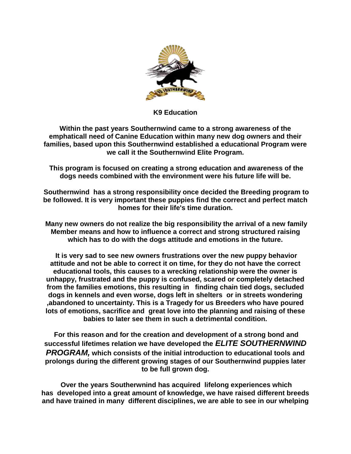

**K9 Education**

**Within the past years Southernwind came to a strong awareness of the emphaticall need of Canine Education within many new dog owners and their families, based upon this Southernwind established a educational Program were we call it the Southernwind Elite Program.**

**This program is focused on creating a strong education and awareness of the dogs needs combined with the environment were his future life will be.**

**Southernwind has a strong responsibility once decided the Breeding program to be followed. It is very important these puppies find the correct and perfect match homes for their life's time duration.**

**Many new owners do not realize the big responsibility the arrival of a new family Member means and how to influence a correct and strong structured raising which has to do with the dogs attitude and emotions in the future.**

**It is very sad to see new owners frustrations over the new puppy behavior attitude and not be able to correct it on time, for they do not have the correct educational tools, this causes to a wrecking relationship were the owner is unhappy, frustrated and the puppy is confused, scared or completely detached from the families emotions, this resulting in finding chain tied dogs, secluded dogs in kennels and even worse, dogs left in shelters or in streets wondering ,abandoned to uncertainty. This is a Tragedy for us Breeders who have poured lots of emotions, sacrifice and great love into the planning and raising of these babies to later see them in such a detrimental condition.** 

**For this reason and for the creation and development of a strong bond and successful lifetimes relation we have developed the** *ELITE SOUTHERNWIND PROGRAM,* **which consists of the initial introduction to educational tools and prolongs during the different growing stages of our Southernwind puppies later to be full grown dog.**

**Over the years Southerwnind has acquired lifelong experiences which has developed into a great amount of knowledge, we have raised different breeds and have trained in many different disciplines, we are able to see in our whelping**